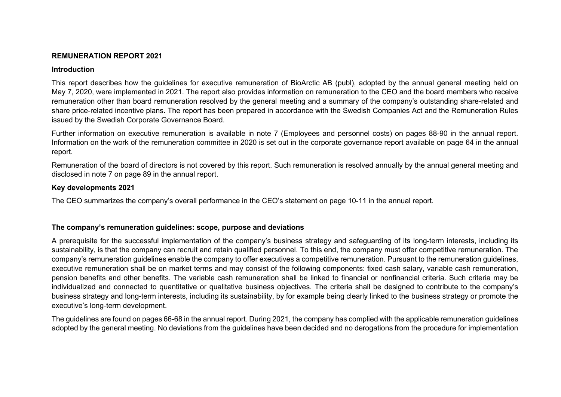# **REMUNERATION REPORT 2021**

### **Introduction**

This report describes how the guidelines for executive remuneration of BioArctic AB (publ), adopted by the annual general meeting held on May 7, 2020, were implemented in 2021. The report also provides information on remuneration to the CEO and the board members who receive remuneration other than board remuneration resolved by the general meeting and a summary of the company's outstanding share-related and share price-related incentive plans. The report has been prepared in accordance with the Swedish Companies Act and the Remuneration Rules issued by the Swedish Corporate Governance Board.

Further information on executive remuneration is available in note 7 (Employees and personnel costs) on pages 88-90 in the annual report. Information on the work of the remuneration committee in 2020 is set out in the corporate governance report available on page 64 in the annual report.

Remuneration of the board of directors is not covered by this report. Such remuneration is resolved annually by the annual general meeting and disclosed in note 7 on page 89 in the annual report.

## **Key developments 2021**

The CEO summarizes the company's overall performance in the CEO's statement on page 10-11 in the annual report.

# **The company's remuneration guidelines: scope, purpose and deviations**

A prerequisite for the successful implementation of the company's business strategy and safeguarding of its long-term interests, including its sustainability, is that the company can recruit and retain qualified personnel. To this end, the company must offer competitive remuneration. The company's remuneration guidelines enable the company to offer executives a competitive remuneration. Pursuant to the remuneration guidelines, executive remuneration shall be on market terms and may consist of the following components: fixed cash salary, variable cash remuneration, pension benefits and other benefits. The variable cash remuneration shall be linked to financial or nonfinancial criteria. Such criteria may be individualized and connected to quantitative or qualitative business objectives. The criteria shall be designed to contribute to the company's business strategy and long-term interests, including its sustainability, by for example being clearly linked to the business strategy or promote the executive's long-term development.

The guidelines are found on pages 66-68 in the annual report. During 2021, the company has complied with the applicable remuneration guidelines adopted by the general meeting. No deviations from the guidelines have been decided and no derogations from the procedure for implementation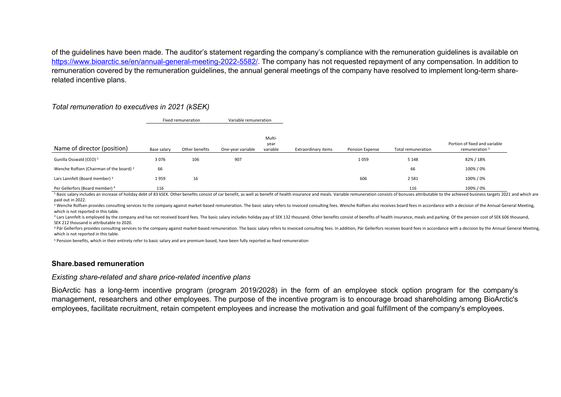of the guidelines have been made. The auditor's statement regarding the company's compliance with the remuneration guidelines is available on https://www.bioarctic.se/en/annual-general-meeting-2022-5582/. The company has not requested repayment of any compensation. In addition to remuneration covered by the remuneration guidelines, the annual general meetings of the company have resolved to implement long-term sharerelated incentive plans.

## *Total remuneration to executives in 2021 (kSEK)*

Fixed remuneration Variable remuneration

|                                                     |             |                |                   | Multi-<br>year |                     |                        |                    | Portion of fixed and variable |
|-----------------------------------------------------|-------------|----------------|-------------------|----------------|---------------------|------------------------|--------------------|-------------------------------|
| Name of director (position)                         | Base salary | Other benefits | One-year variable | variable       | Extraordinary items | <b>Pension Expense</b> | Total remuneration | remuneration <sup>5</sup>     |
| Gunilla Osswald (CEO) <sup>1</sup>                  | 3076        | 106            | 907               |                |                     | 1 0 5 9                | 5 1 4 8            | 82% / 18%                     |
| Wenche Rolfsen (Chairman of the board) <sup>2</sup> | 66          |                |                   |                |                     |                        | 66                 | 100%/0%                       |
| Lars Lannfelt (Board member) 3                      | 1959        | 16             |                   |                |                     | 606                    | 2 5 8 1            | 100%/0%                       |
| Per Gellerfors (Board member) 4                     | 116         |                |                   |                |                     |                        | 116                | 100%/0%                       |

<sup>1</sup> Basic salary includes an increase of holiday debt of 83 kSEK. Other benefits consist of car benefit, as well as benefit of health insurance and meals. Variable remuneration consists of bonuses attributable to the achie paid out in 2022.

<sup>2</sup> Wenche Rolfsen provides consulting services to the company against market-based remuneration. The basic salary refers to invoiced consulting fees. Wenche Rolfsen also receives board fees in accordance with a decision o which is not reported in this table.

<sup>3</sup> Lars Lannfelt is emploved by the company and has not received board fees. The basic salary includes holiday pay of SEK 132 thousand. Other benefits consist of benefits of health insurance, meals and parking. Of the pen SEK 212 thousand is attributable to 2020.

<sup>4</sup> Pär Gellerfors provides consulting services to the company against market-based remuneration. The basic salary refers to invoiced consulting fees. In addition. Pär Gellerfors receives board fees in accordance with a de which is not reported in this table.

<sup>5</sup> Pension benefits, which in their entirety refer to basic salary and are premium based, have been fully reported as fixed remuneration

#### **Share.based remuneration**

#### *Existing share-related and share price-related incentive plans*

BioArctic has a long-term incentive program (program 2019/2028) in the form of an employee stock option program for the company's management, researchers and other employees. The purpose of the incentive program is to encourage broad shareholding among BioArctic's employees, facilitate recruitment, retain competent employees and increase the motivation and goal fulfillment of the company's employees.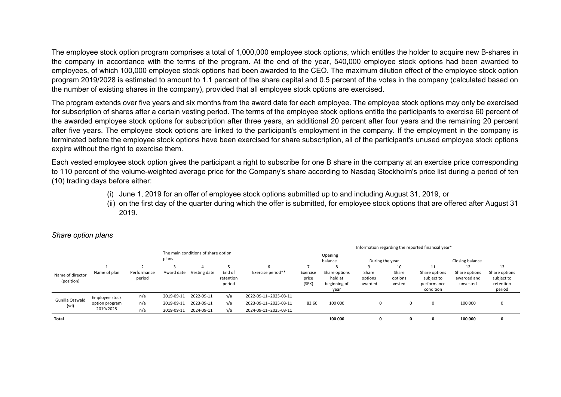The employee stock option program comprises a total of 1,000,000 employee stock options, which entitles the holder to acquire new B-shares in the company in accordance with the terms of the program. At the end of the year, 540,000 employee stock options had been awarded to employees, of which 100,000 employee stock options had been awarded to the CEO. The maximum dilution effect of the employee stock option program 2019/2028 is estimated to amount to 1.1 percent of the share capital and 0.5 percent of the votes in the company (calculated based on the number of existing shares in the company), provided that all employee stock options are exercised.

The program extends over five years and six months from the award date for each employee. The employee stock options may only be exercised for subscription of shares after a certain vesting period. The terms of the employee stock options entitle the participants to exercise 60 percent of the awarded employee stock options for subscription after three years, an additional 20 percent after four years and the remaining 20 percent after five years. The employee stock options are linked to the participant's employment in the company. If the employment in the company is terminated before the employee stock options have been exercised for share subscription, all of the participant's unused employee stock options expire without the right to exercise them.

Each vested employee stock option gives the participant a right to subscribe for one B share in the company at an exercise price corresponding to 110 percent of the volume-weighted average price for the Company's share according to Nasdaq Stockholm's price list during a period of ten (10) trading days before either:

- (i) June 1, 2019 for an offer of employee stock options submitted up to and including August 31, 2019, or
- (ii) on the first day of the quarter during which the offer is submitted, for employee stock options that are offered after August 31 2019.

|                                |                                                                                                           |                       |                        | Information regarding the reported financial year* |                               |                        |                            |                                                  |                             |                            |                                                         |                                          |                                                    |  |
|--------------------------------|-----------------------------------------------------------------------------------------------------------|-----------------------|------------------------|----------------------------------------------------|-------------------------------|------------------------|----------------------------|--------------------------------------------------|-----------------------------|----------------------------|---------------------------------------------------------|------------------------------------------|----------------------------------------------------|--|
|                                | The main conditions of share option<br>plans                                                              |                       |                        |                                                    |                               |                        |                            | Opening<br>balance                               | During the year             |                            |                                                         | Closing balance                          |                                                    |  |
|                                |                                                                                                           |                       |                        |                                                    |                               |                        |                            |                                                  | 9                           | 10                         | 11                                                      | 12                                       | 13                                                 |  |
| Name of director<br>(position) | Name of plan                                                                                              | Performance<br>period | Award date             | Vesting date                                       | End of<br>retention<br>period | Exercise period**      | Exercise<br>price<br>(SEK) | Share options<br>held at<br>beginning of<br>year | Share<br>options<br>awarded | Share<br>options<br>vested | Share options<br>subject to<br>performance<br>condition | Share options<br>awarded and<br>unvested | Share options<br>subject to<br>retention<br>period |  |
|                                | Employee stock                                                                                            | n/a                   | 2019-09-11             | 2022-09-11                                         | n/a                           | 2022-09-11--2025-03-11 |                            |                                                  |                             |                            |                                                         |                                          |                                                    |  |
| Gunilla Osswald                | 2023-09-11<br>2019-09-11<br>n/a<br>option program<br>(vd)<br>2019/2028<br>2019-09-11<br>2024-09-11<br>n/a |                       |                        |                                                    | n/a                           | 2023-09-11--2025-03-11 | 83,60                      | 100 000                                          | 0                           | 0                          | 0                                                       | 100 000                                  |                                                    |  |
|                                |                                                                                                           | n/a                   | 2024-09-11--2025-03-11 |                                                    |                               |                        |                            |                                                  |                             |                            |                                                         |                                          |                                                    |  |
| Total                          |                                                                                                           |                       |                        |                                                    |                               |                        |                            | 100 000                                          | 0                           |                            | 0                                                       | 100 000                                  |                                                    |  |

### *Share option plans*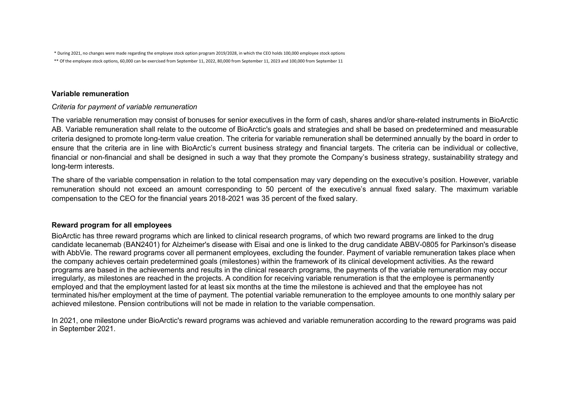\* During 2021, no changes were made regarding the employee stock option program 2019/2028, in which the CEO holds 100,000 employee stock options

\*\* Of the employee stock options, 60,000 can be exercised from September 11, 2022, 80,000 from September 11, 2023 and 100,000 from September 11

## **Variable remuneration**

*Criteria for payment of variable remuneration*

The variable renumeration may consist of bonuses for senior executives in the form of cash, shares and/or share-related instruments in BioArctic AB. Variable remuneration shall relate to the outcome of BioArctic's goals and strategies and shall be based on predetermined and measurable criteria designed to promote long-term value creation. The criteria for variable remuneration shall be determined annually by the board in order to ensure that the criteria are in line with BioArctic's current business strategy and financial targets. The criteria can be individual or collective, financial or non-financial and shall be designed in such a way that they promote the Company's business strategy, sustainability strategy and long-term interests.

The share of the variable compensation in relation to the total compensation may vary depending on the executive's position. However, variable remuneration should not exceed an amount corresponding to 50 percent of the executive's annual fixed salary. The maximum variable compensation to the CEO for the financial years 2018-2021 was 35 percent of the fixed salary.

# **Reward program for all employees**

BioArctic has three reward programs which are linked to clinical research programs, of which two reward programs are linked to the drug candidate lecanemab (BAN2401) for Alzheimer's disease with Eisai and one is linked to the drug candidate ABBV-0805 for Parkinson's disease with AbbVie. The reward programs cover all permanent employees, excluding the founder. Payment of variable remuneration takes place when the company achieves certain predetermined goals (milestones) within the framework of its clinical development activities. As the reward programs are based in the achievements and results in the clinical research programs, the payments of the variable remuneration may occur irregularly, as milestones are reached in the projects. A condition for receiving variable renumeration is that the employee is permanently employed and that the employment lasted for at least six months at the time the milestone is achieved and that the employee has not terminated his/her employment at the time of payment. The potential variable remuneration to the employee amounts to one monthly salary per achieved milestone. Pension contributions will not be made in relation to the variable compensation.

In 2021, one milestone under BioArctic's reward programs was achieved and variable remuneration according to the reward programs was paid in September 2021.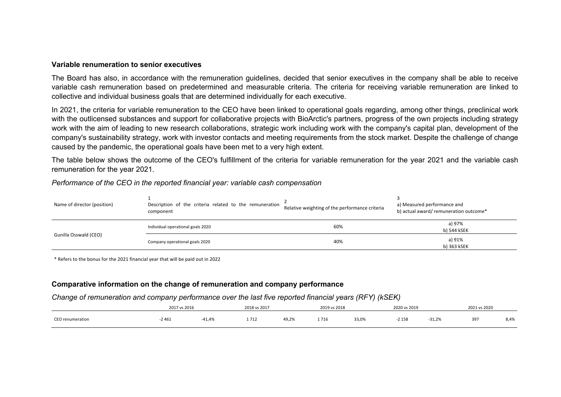#### **Variable renumeration to senior executives**

The Board has also, in accordance with the remuneration guidelines, decided that senior executives in the company shall be able to receive variable cash remuneration based on predetermined and measurable criteria. The criteria for receiving variable remuneration are linked to collective and individual business goals that are determined individually for each executive.

In 2021, the criteria for variable remuneration to the CEO have been linked to operational goals regarding, among other things, preclinical work with the outlicensed substances and support for collaborative projects with BioArctic's partners, progress of the own projects including strategy work with the aim of leading to new research collaborations, strategic work including work with the company's capital plan, development of the company's sustainability strategy, work with investor contacts and meeting requirements from the stock market. Despite the challenge of change caused by the pandemic, the operational goals have been met to a very high extent.

The table below shows the outcome of the CEO's fulfillment of the criteria for variable remuneration for the year 2021 and the variable cash remuneration for the year 2021.

| Name of director (position) | Description of the criteria related to the remuneration<br>component | Relative weighting of the performance criteria | a) Measured performance and<br>b) actual award/ remuneration outcome* |  |  |
|-----------------------------|----------------------------------------------------------------------|------------------------------------------------|-----------------------------------------------------------------------|--|--|
| Gunilla Osswald (CEO)       | Individual operational goals 2020                                    | 60%                                            | a) 97%<br>b) 544 kSEK                                                 |  |  |
|                             | Company operational goals 2020                                       | 40%                                            | a) 91%<br>b) 363 kSEK                                                 |  |  |

*Performance of the CEO in the reported financial year: variable cash compensation*

\* Refers to the bonus for the 2021 financial year that will be paid out in 2022

#### **Comparative information on the change of remuneration and company performance**

#### *Change of remuneration and company performance over the last five reported financial years (RFY) (kSEK)*

|                  | 2017 vs 2016 |       | 2018 vs 2017 |       | 2019 vs 2018 |       | 2020 vs 2019 |          | 2021 vs 2020 |      |
|------------------|--------------|-------|--------------|-------|--------------|-------|--------------|----------|--------------|------|
| CEO renumeration | 2461         | ⊦⊥,4% | 1 712        | 49,2% | 1716         | 33,0% | 15<br>، د د  | $-31,2%$ | 397          | 8,4% |